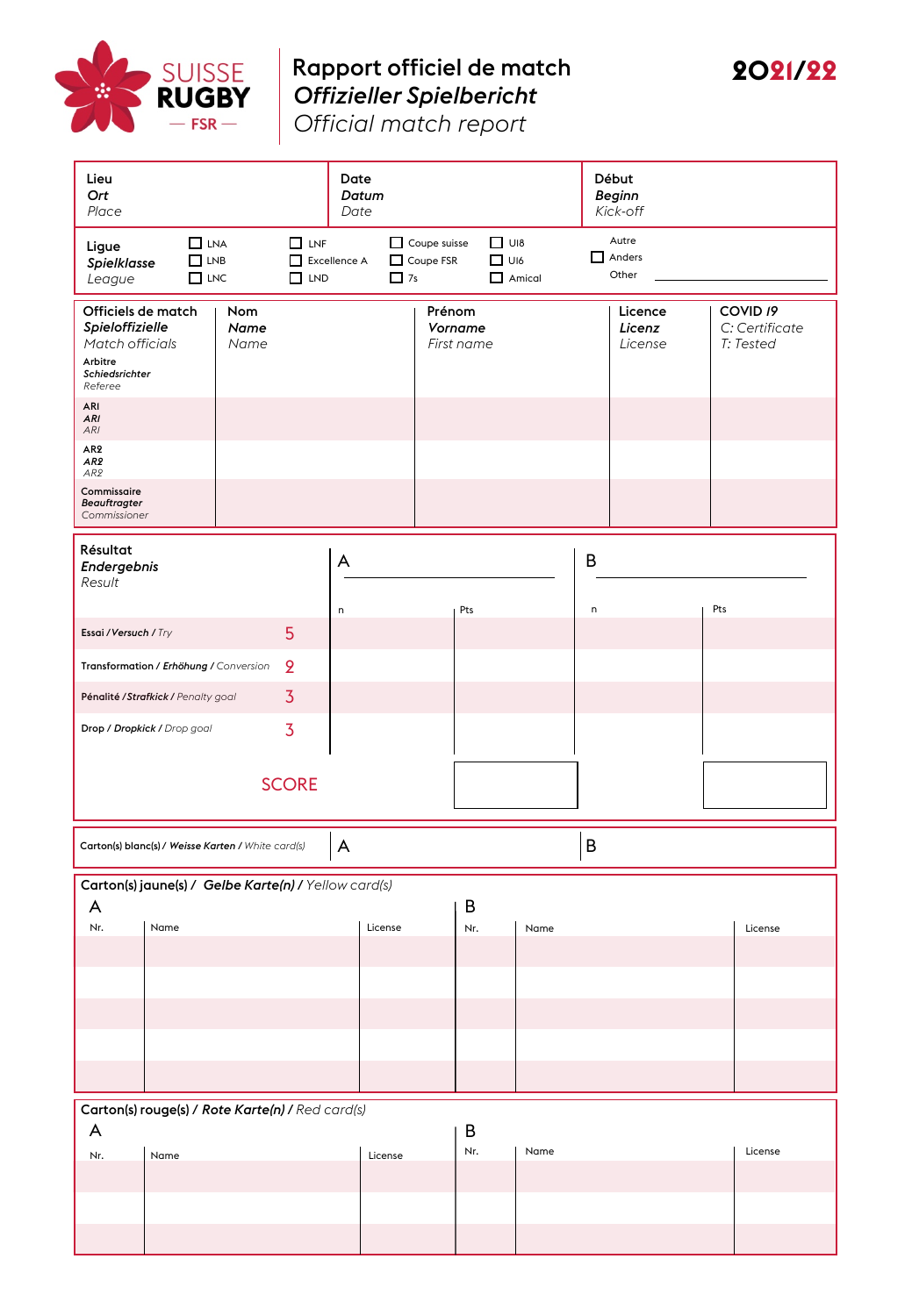

## Rapport officiel de match *Offizieller Spielbericht*



*Official match report*

| Lieu<br>Ort<br>Place                                                                                      |                                                      |                     |                                                                                                            | Date<br>Datum<br>Date |         |                       |                                 |   | Début<br><b>Beginn</b><br>Kick-off |  |                                                    |
|-----------------------------------------------------------------------------------------------------------|------------------------------------------------------|---------------------|------------------------------------------------------------------------------------------------------------|-----------------------|---------|-----------------------|---------------------------------|---|------------------------------------|--|----------------------------------------------------|
| $\Box$ LNA<br>$\Box$ LNF<br>Ligue<br>$\Box$ LNB<br>□<br>Spielklasse<br>$\Box$ LNC<br>$\Box$ LND<br>League |                                                      |                     | $\Box$ UI8<br>$\Box$ Coupe suisse<br>Coupe FSR<br>$\Box$ UI6<br>Excellence A<br>$\Box$ 7s<br>$\Box$ Amical |                       |         |                       | Autre<br>$\Box$ Anders<br>Other |   |                                    |  |                                                    |
| Officiels de match<br>Spieloffizielle<br>Match officials<br>Arbitre<br>Schiedsrichter<br>Referee          |                                                      | Nom<br>Name<br>Name |                                                                                                            |                       | Prénom  | Vorname<br>First name |                                 |   | Licence<br>Licenz<br>License       |  | COVID <sub>19</sub><br>C: Certificate<br>T: Tested |
| <b>ARI</b><br>ARI<br>ARI                                                                                  |                                                      |                     |                                                                                                            |                       |         |                       |                                 |   |                                    |  |                                                    |
| AR <sub>2</sub><br>AR <sub>2</sub><br>AR2                                                                 |                                                      |                     |                                                                                                            |                       |         |                       |                                 |   |                                    |  |                                                    |
| Commissaire<br>Beauftragter<br>Commissioner                                                               |                                                      |                     |                                                                                                            |                       |         |                       |                                 |   |                                    |  |                                                    |
| Résultat<br>Endergebnis<br>Result                                                                         |                                                      |                     |                                                                                                            | A                     |         |                       |                                 | B |                                    |  |                                                    |
| 5<br>Essai / Versuch / Try                                                                                |                                                      |                     | Pts<br>n                                                                                                   |                       |         | Pts<br>$\sf n$        |                                 |   |                                    |  |                                                    |
| $\overline{2}$<br>Transformation / Erhöhung / Conversion                                                  |                                                      |                     |                                                                                                            |                       |         |                       |                                 |   |                                    |  |                                                    |
|                                                                                                           | Pénalité / Strafkick / Penalty goal                  |                     | $\overline{3}$                                                                                             |                       |         |                       |                                 |   |                                    |  |                                                    |
|                                                                                                           | Drop / Dropkick / Drop goal                          |                     |                                                                                                            |                       |         |                       |                                 |   |                                    |  |                                                    |
| <b>SCORE</b>                                                                                              |                                                      |                     |                                                                                                            |                       |         |                       |                                 |   |                                    |  |                                                    |
| B<br>A<br>Carton(s) blanc(s) / Weisse Karten / White card(s)                                              |                                                      |                     |                                                                                                            |                       |         |                       |                                 |   |                                    |  |                                                    |
|                                                                                                           | Carton(s) jaune(s) / Gelbe Karte(n) / Yellow card(s) |                     |                                                                                                            |                       |         |                       |                                 |   |                                    |  |                                                    |
| A<br>Nr.                                                                                                  | Name                                                 |                     |                                                                                                            | License               |         | B<br>Nr.              | Name                            |   |                                    |  | License                                            |
|                                                                                                           |                                                      |                     |                                                                                                            |                       |         |                       |                                 |   |                                    |  |                                                    |
|                                                                                                           |                                                      |                     |                                                                                                            |                       |         |                       |                                 |   |                                    |  |                                                    |
|                                                                                                           |                                                      |                     |                                                                                                            |                       |         |                       |                                 |   |                                    |  |                                                    |
|                                                                                                           |                                                      |                     |                                                                                                            |                       |         |                       |                                 |   |                                    |  |                                                    |
|                                                                                                           |                                                      |                     |                                                                                                            |                       |         |                       |                                 |   |                                    |  |                                                    |
| Carton(s) rouge(s) / Rote Karte(n) / Red card(s)<br>A<br>B                                                |                                                      |                     |                                                                                                            |                       |         |                       |                                 |   |                                    |  |                                                    |
| Nr.                                                                                                       | Name                                                 |                     |                                                                                                            |                       | License | Nr.                   | Name                            |   |                                    |  | License                                            |
|                                                                                                           |                                                      |                     |                                                                                                            |                       |         |                       |                                 |   |                                    |  |                                                    |
|                                                                                                           |                                                      |                     |                                                                                                            |                       |         |                       |                                 |   |                                    |  |                                                    |